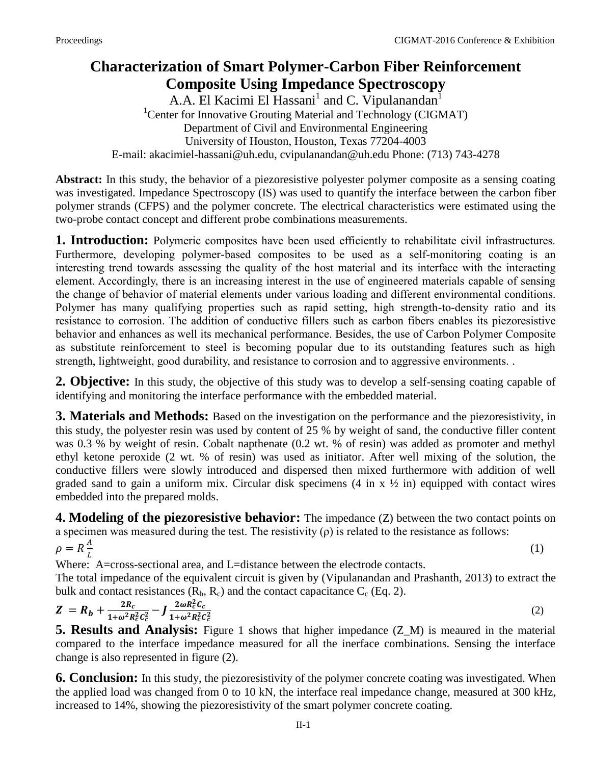## **Characterization of Smart Polymer-Carbon Fiber Reinforcement Composite Using Impedance Spectroscopy**

A.A. El Kacimi El Hassani<sup>1</sup> and C. Vipulanandan<sup>1</sup> <sup>1</sup>Center for Innovative Grouting Material and Technology (CIGMAT) Department of Civil and Environmental Engineering University of Houston, Houston, Texas 77204-4003 E-mail: [akacimiel-hassani@uh.edu,](mailto:akacimiel-hassani@uh.edu) cvipulanandan@uh.edu Phone: (713) 743-4278

**Abstract:** In this study, the behavior of a piezoresistive polyester polymer composite as a sensing coating was investigated. Impedance Spectroscopy (IS) was used to quantify the interface between the carbon fiber polymer strands (CFPS) and the polymer concrete. The electrical characteristics were estimated using the two-probe contact concept and different probe combinations measurements.

**1. Introduction:** Polymeric composites have been used efficiently to rehabilitate civil infrastructures. Furthermore, developing polymer-based composites to be used as a self-monitoring coating is an interesting trend towards assessing the quality of the host material and its interface with the interacting element. Accordingly, there is an increasing interest in the use of engineered materials capable of sensing the change of behavior of material elements under various loading and different environmental conditions. Polymer has many qualifying properties such as rapid setting, high strength-to-density ratio and its resistance to corrosion. The addition of conductive fillers such as carbon fibers enables its piezoresistive behavior and enhances as well its mechanical performance. Besides, the use of Carbon Polymer Composite as substitute reinforcement to steel is becoming popular due to its outstanding features such as high strength, lightweight, good durability, and resistance to corrosion and to aggressive environments. .

**2. Objective:** In this study, the objective of this study was to develop a self-sensing coating capable of identifying and monitoring the interface performance with the embedded material.

**3. Materials and Methods:** Based on the investigation on the performance and the piezoresistivity, in this study, the polyester resin was used by content of 25 % by weight of sand, the conductive filler content was 0.3 % by weight of resin. Cobalt napthenate (0.2 wt. % of resin) was added as promoter and methyl ethyl ketone peroxide (2 wt. % of resin) was used as initiator. After well mixing of the solution, the conductive fillers were slowly introduced and dispersed then mixed furthermore with addition of well graded sand to gain a uniform mix. Circular disk specimens  $(4 \text{ in } x \frac{1}{2} \text{ in})$  equipped with contact wires embedded into the prepared molds.

**4.** Modeling of the piezoresistive behavior: The impedance (Z) between the two contact points on a specimen was measured during the test. The resistivity  $(\rho)$  is related to the resistance as follows:

$$
\rho = R \frac{A}{L}
$$

(1)

Where: A=cross-sectional area, and L=distance between the electrode contacts.

The total impedance of the equivalent circuit is given by (Vipulanandan and Prashanth, 2013) to extract the bulk and contact resistances  $(R_b, R_c)$  and the contact capacitance  $C_c$  (Eq. 2).

$$
Z = R_b + \frac{2R_c}{1 + \omega^2 R_c^2 c_c^2} - J \frac{2\omega R_c^2 c_c}{1 + \omega^2 R_c^2 c_c^2}
$$
 (2)

**5. Results and Analysis:** Figure 1 shows that higher impedance (Z\_M) is meaured in the material compared to the interface impedance measured for all the inerface combinations. Sensing the interface change is also represented in figure (2).

**6. Conclusion:** In this study, the piezoresistivity of the polymer concrete coating was investigated. When the applied load was changed from 0 to 10 kN, the interface real impedance change, measured at 300 kHz, increased to 14%, showing the piezoresistivity of the smart polymer concrete coating.